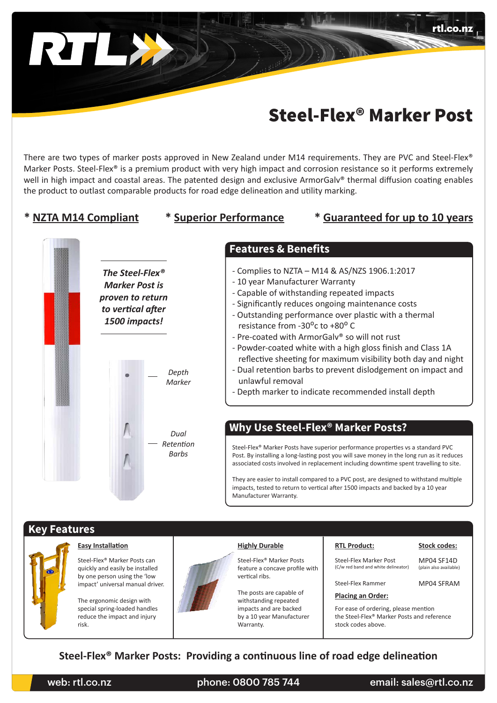

# Steel-Flex® Marker Post

There are two types of marker posts approved in New Zealand under M14 requirements. They are PVC and Steel-Flex® Marker Posts. Steel-Flex® is a premium product with very high impact and corrosion resistance so it performs extremely well in high impact and coastal areas. The patented design and exclusive ArmorGalv® thermal diffusion coating enables the product to outlast comparable products for road edge delineation and utility marking.

### **\* NZTA M14 Compliant \* Superior Performance \* Guaranteed for up to 10 years**

rtl.co.nz



# **Key Features**



### **Easy Installation**

Steel-Flex® Marker Posts can quickly and easily be installed by one person using the 'low impact' universal manual driver.

The ergonomic design with special spring-loaded handles reduce the impact and injury risk.



#### **Highly Durable**

Steel-Flex® Marker Posts feature a concave profile with vertical ribs.

The posts are capable of withstanding repeated impacts and are backed by a 10 year Manufacturer Warranty.

#### **RTL Product: Stock codes:**

MP04 SF14D Steel-Flex Marker Post (C/w red band and white delineator)

(plain also available)

Steel-Flex Rammer MP04 SFRAM

#### **Placing an Order:**

For ease of ordering, please mention the Steel-Flex® Marker Posts and reference stock codes above.

# **Steel-Flex® Marker Posts: Providing a continuous line of road edge delineation**

web: rtl.co.nz bhone: 0800 785 744 email: sales@rtl.co.nz